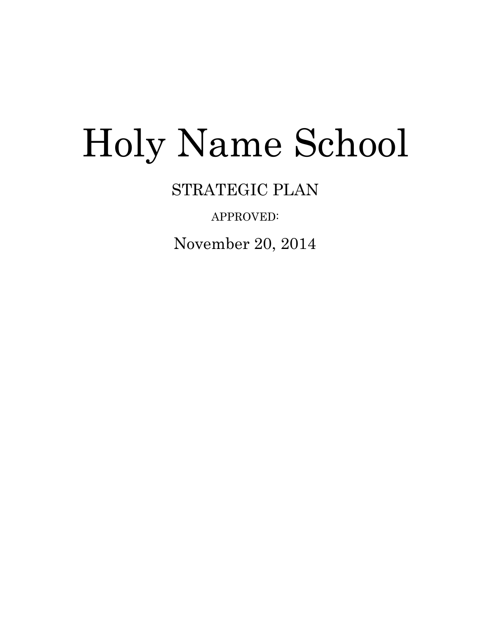# Holy Name School

STRATEGIC PLAN

APPROVED:

November 20, 2014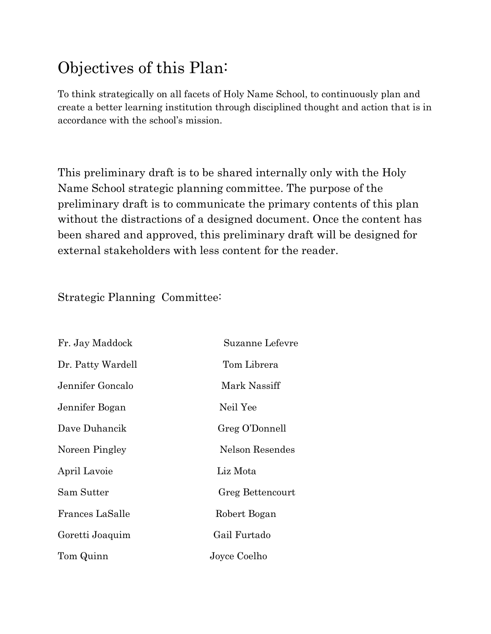# Objectives of this Plan:

To think strategically on all facets of Holy Name School, to continuously plan and create a better learning institution through disciplined thought and action that is in accordance with the school's mission.

This preliminary draft is to be shared internally only with the Holy Name School strategic planning committee. The purpose of the preliminary draft is to communicate the primary contents of this plan without the distractions of a designed document. Once the content has been shared and approved, this preliminary draft will be designed for external stakeholders with less content for the reader.

Strategic Planning Committee:

| Fr. Jay Maddock   | Suzanne Lefevre  |
|-------------------|------------------|
| Dr. Patty Wardell | Tom Librera      |
| Jennifer Goncalo  | Mark Nassiff     |
| Jennifer Bogan    | Neil Yee         |
| Dave Duhancik     | Greg O'Donnell   |
| Noreen Pingley    | Nelson Resendes  |
| April Lavoie      | Liz Mota         |
| Sam Sutter        | Greg Bettencourt |
| Frances LaSalle   | Robert Bogan     |
| Goretti Joaquim   | Gail Furtado     |
| Tom Quinn         | Joyce Coelho     |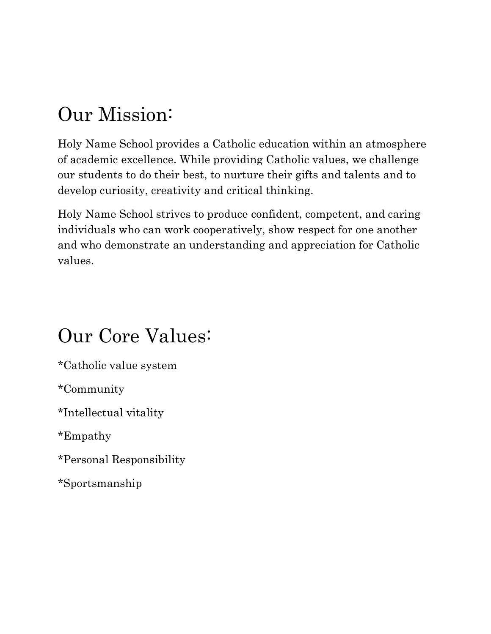# Our Mission:

Holy Name School provides a Catholic education within an atmosphere of academic excellence. While providing Catholic values, we challenge our students to do their best, to nurture their gifts and talents and to develop curiosity, creativity and critical thinking.

Holy Name School strives to produce confident, competent, and caring individuals who can work cooperatively, show respect for one another and who demonstrate an understanding and appreciation for Catholic values.

# Our Core Values:

\*Catholic value system

\*Community

\*Intellectual vitality

\*Empathy

\*Personal Responsibility

\*Sportsmanship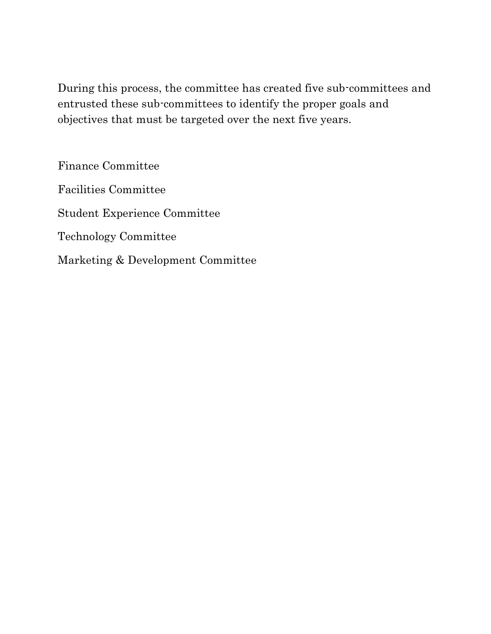During this process, the committee has created five sub-committees and entrusted these sub-committees to identify the proper goals and objectives that must be targeted over the next five years.

Finance Committee Facilities Committee Student Experience Committee Technology Committee Marketing & Development Committee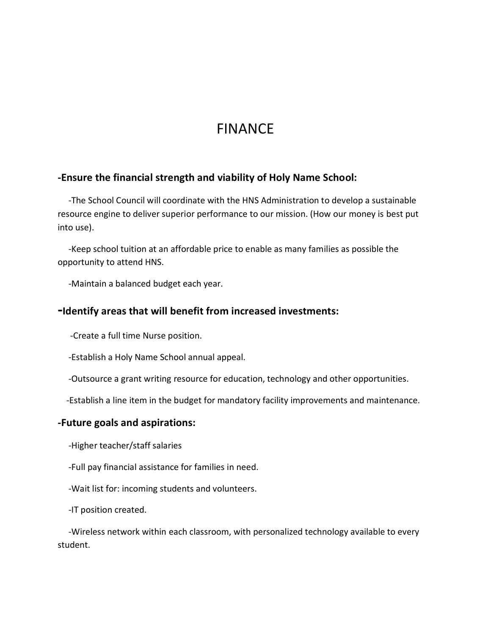# FINANCE

#### **-Ensure the financial strength and viability of Holy Name School:**

 -The School Council will coordinate with the HNS Administration to develop a sustainable resource engine to deliver superior performance to our mission. (How our money is best put into use).

 -Keep school tuition at an affordable price to enable as many families as possible the opportunity to attend HNS.

-Maintain a balanced budget each year.

#### **-Identify areas that will benefit from increased investments:**

-Create a full time Nurse position.

-Establish a Holy Name School annual appeal.

-Outsource a grant writing resource for education, technology and other opportunities.

-Establish a line item in the budget for mandatory facility improvements and maintenance.

#### **-Future goals and aspirations:**

-Higher teacher/staff salaries

-Full pay financial assistance for families in need.

-Wait list for: incoming students and volunteers.

-IT position created.

 -Wireless network within each classroom, with personalized technology available to every student.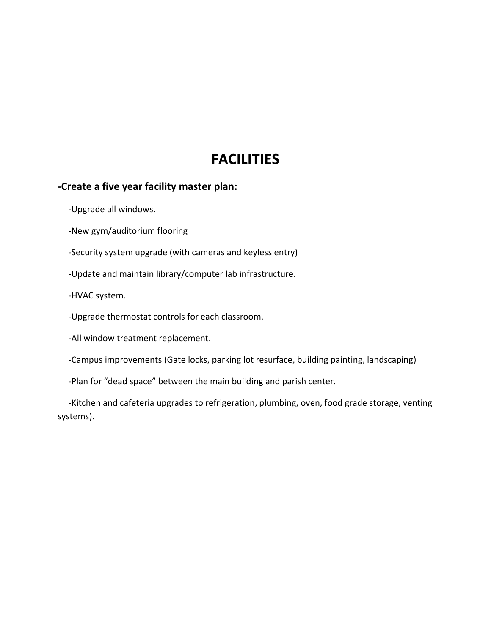## **FACILITIES**

#### **-Create a five year facility master plan:**

-Upgrade all windows.

-New gym/auditorium flooring

-Security system upgrade (with cameras and keyless entry)

-Update and maintain library/computer lab infrastructure.

-HVAC system.

-Upgrade thermostat controls for each classroom.

-All window treatment replacement.

-Campus improvements (Gate locks, parking lot resurface, building painting, landscaping)

-Plan for "dead space" between the main building and parish center.

 -Kitchen and cafeteria upgrades to refrigeration, plumbing, oven, food grade storage, venting systems).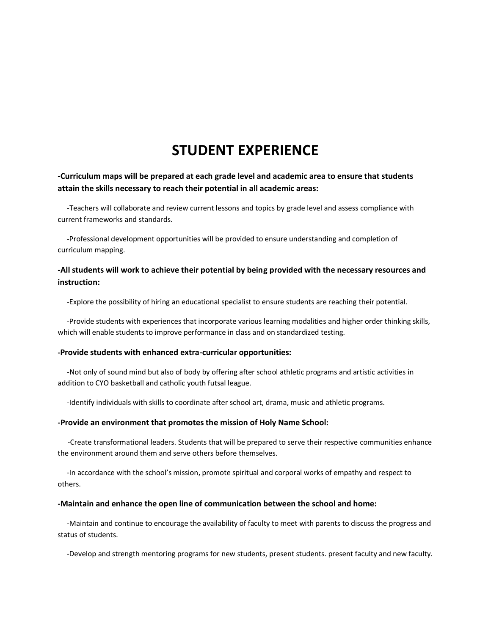## **STUDENT EXPERIENCE**

#### **-Curriculum maps will be prepared at each grade level and academic area to ensure that students attain the skills necessary to reach their potential in all academic areas:**

-Teachers will collaborate and review current lessons and topics by grade level and assess compliance with current frameworks and standards.

 -Professional development opportunities will be provided to ensure understanding and completion of curriculum mapping.

#### **-All students will work to achieve their potential by being provided with the necessary resources and instruction:**

-Explore the possibility of hiring an educational specialist to ensure students are reaching their potential.

 -Provide students with experiences that incorporate various learning modalities and higher order thinking skills, which will enable students to improve performance in class and on standardized testing.

#### **-Provide students with enhanced extra-curricular opportunities:**

-Not only of sound mind but also of body by offering after school athletic programs and artistic activities in addition to CYO basketball and catholic youth futsal league.

-Identify individuals with skills to coordinate after school art, drama, music and athletic programs.

#### **-Provide an environment that promotes the mission of Holy Name School:**

-Create transformational leaders. Students that will be prepared to serve their respective communities enhance the environment around them and serve others before themselves.

 -In accordance with the school's mission, promote spiritual and corporal works of empathy and respect to others.

#### **-Maintain and enhance the open line of communication between the school and home:**

 -Maintain and continue to encourage the availability of faculty to meet with parents to discuss the progress and status of students.

-Develop and strength mentoring programs for new students, present students. present faculty and new faculty.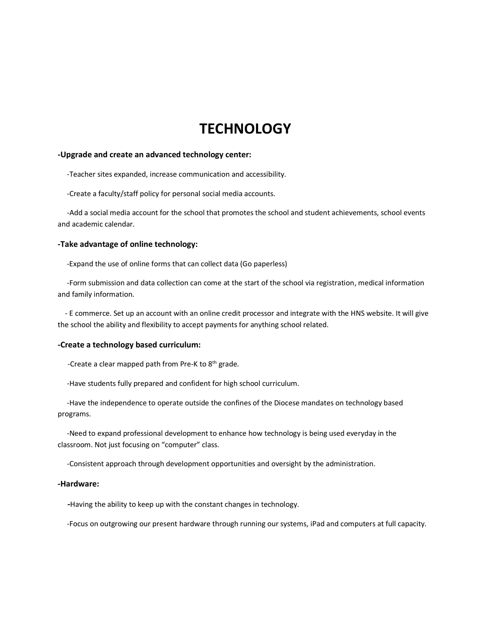### **TECHNOLOGY**

#### **-Upgrade and create an advanced technology center:**

-Teacher sites expanded, increase communication and accessibility.

-Create a faculty/staff policy for personal social media accounts.

 -Add a social media account for the school that promotes the school and student achievements, school events and academic calendar.

#### **-Take advantage of online technology:**

-Expand the use of online forms that can collect data (Go paperless)

 -Form submission and data collection can come at the start of the school via registration, medical information and family information.

 - E commerce. Set up an account with an online credit processor and integrate with the HNS website. It will give the school the ability and flexibility to accept payments for anything school related.

#### **-Create a technology based curriculum:**

-Create a clear mapped path from Pre-K to 8th grade.

-Have students fully prepared and confident for high school curriculum.

 -Have the independence to operate outside the confines of the Diocese mandates on technology based programs.

 -Need to expand professional development to enhance how technology is being used everyday in the classroom. Not just focusing on "computer" class.

-Consistent approach through development opportunities and oversight by the administration.

#### **-Hardware:**

 **-**Having the ability to keep up with the constant changes in technology.

-Focus on outgrowing our present hardware through running our systems, iPad and computers at full capacity.